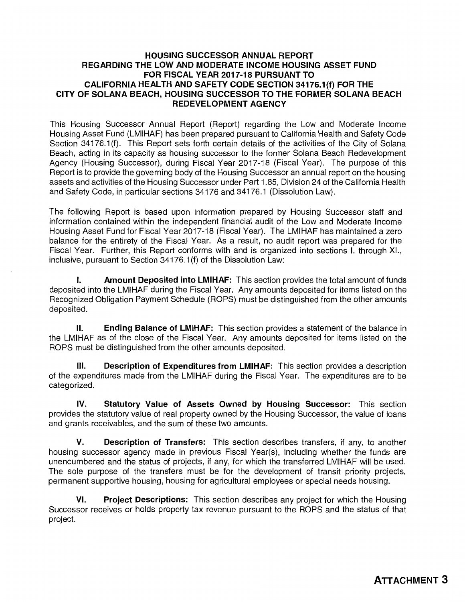## **HOUSING SUCCESSOR ANNUAL REPORT REGARDING THE LOW AND MODERATE INCOME HOUSING ASSET FUND FOR FISCAL YEAR 2017-18 PURSUANT TO CALIFORNIA HEALTH AND SAFETY CODE SECTION 34176.1(f) FOR THE CITY OF SOLANA BEACH, HOUSING SUCCESSOR TO THE FORMER SOLANA BEACH REDEVELOPMENT AGENCY**

This Housing Successor Annual Report (Report) regarding the Low and Moderate Income Housing Asset Fund (LMIHAF) has been prepared pursuant to California Health and Safety Code Section 34176.1(f). This Report sets forth certain details of the activities of the City of Solana Beach, acting in its capacity as housing successor to the former Solana Beach Redevelopment Agency (Housing Successor), during Fiscal Year 2017-18 (Fiscal Year). The purpose of this Report is to provide the governing body of the Housing Successor an annual report on the housing assets and activities of the Housing Successor under Part 1.85, Division 24 of the California Health and Safety Code, in particular sections 34176 and 34176.1 (Dissolution Law).

The following Report is based upon information prepared by Housing Successor staff and information contained within the independent financial audit of the Low and Moderate Income Housing Asset Fund for Fiscal Year 2017-18 (Fiscal Year). The LMIHAF has maintained a zero balance for the entirety of the Fiscal Year. As a result, no audit report was prepared for the Fiscal Year. Further, this Report conforms with and is organized into sections I. through XI., inclusive, pursuant to Section 34176.1 (f) of the Dissolution Law:

I. **Amount Deposited into LMIHAF:** This section provides the total amount of funds deposited into the LMIHAF during the Fiscal Year. Any amounts deposited for items listed on the Recognized Obligation Payment Schedule (ROPS) must be distinguished from the other amounts deposited.

II. **Ending Balance of LMIHAF:** This section provides a statement of the balance in the LMIHAF as of the close of the Fiscal Year. Any amounts deposited for items listed on the ROPS must be distinguished from the other amounts deposited.

**Ill. Description of Expenditures from LMIHAF:** This section provides a description of the expenditures made from the LMIHAF during the Fiscal Year. The expenditures are to be categorized.

**IV. Statutory Value of Assets Owned by Housing Successor:** This section provides the statutory value of real property owned by the Housing Successor, the value of loans and grants receivables, and the sum of these two amounts.

**V. Description of Transfers:** This section describes transfers, if any, to another housing successor agency made in previous Fiscal Year(s), including whether the funds are unencumbered and the status of projects, if any, for which the transferred LMIHAF will be used. The sole purpose of the transfers must be for the development of transit priority projects, permanent supportive housing, housing for agricultural employees or special needs housing.

**VI. Project Descriptions:** This section describes any project for which the Housing Successor receives or holds property tax revenue pursuant to the ROPS and the status of that project.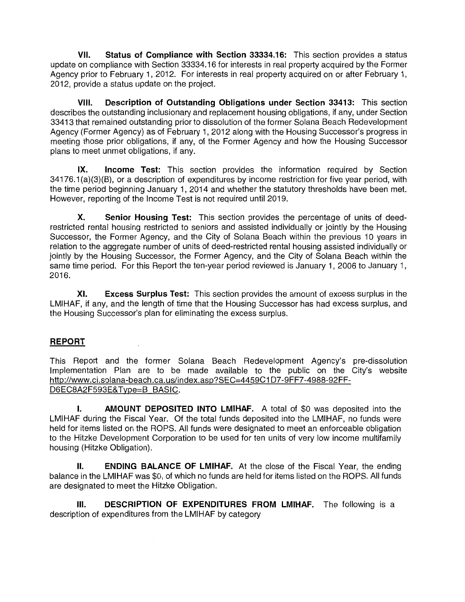**VII. Status of Compliance with Section 33334.16:** This section provides a status update on compliance with Section 33334.16 for interests in real property acquired by the Former Agency prior to February 1, 2012. For interests in real property acquired on or after February 1, 2012, provide a status update on the project.

**VIII. Description of Outstanding Obligations under Section 33413:** This section describes the outstanding inclusionary and replacement housing obligations, if any, under Section 33413 that remained outstanding prior to dissolution of the former Solana Beach Redevelopment Agency (Former Agency) as of February 1, 2012 along with the Housing Successor's progress in meeting those prior obligations, if any, of the Former Agency and how the Housing Successor plans to meet unmet obligations, if any.

**IX. Income Test:** This section provides the information required by Section 34176.1 (a)(3)(B), or a description of expenditures by income restriction for five year period, with the time period beginning January 1, 2014 and whether the statutory thresholds have been met. However, reporting of the Income Test is not required until 2019.

**X. Senior Housing Test:** This section provides the percentage of units of deedrestricted rental housing restricted to seniors and assisted individually or jointly by the Housing Successor, the Former Agency, and the City of Solana Beach within the previous 10 years in relation to the aggregate number of units of deed-restricted rental housing assisted individually or jointly by the Housing Successor, the Former Agency, and the City of Solana Beach within the same time period. For this Report the ten-year period reviewed is January 1, 2006 to January 1, 2016.

**XI. Excess Surplus Test:** This section provides the amount of excess surplus in the LMIHAF, if any, and the length of time that the Housing Successor has had excess surplus, and the Housing Successor's plan for eliminating the excess surplus.

## **REPORT**

This Report and the former Solana Beach Redevelopment Agency's pre-dissolution Implementation Plan are to be made available to the public on the City's website http://www.ci.solana-beach.ca.us/index.asp?SEC=4459C1 D7-9FF7-4988-92FF-D6EC8A2F593E&Type=B\_BASIC.

**I.** AMOUNT DEPOSITED INTO LMIHAF. A total of \$0 was deposited into the LMIHAF during the Fiscal Year. Of the total funds deposited into the LMIHAF, no funds were held for items listed on the ROPS. All funds were designated to meet an enforceable obligation to the Hitzke Development Corporation to be used for ten units of very low income multifamily housing (Hitzke Obligation).

**II. ENDING BALANCE OF LMIHAF.** At the close of the Fiscal Year, the ending balance in the LMIHAF was \$0, of which no funds are held for items listed on the ROPS. All funds are designated to meet the Hitzke Obligation.

**111. DESCRIPTION OF EXPENDITURES FROM LMIHAF.** The following is a description of expenditures from the LMIHAF by category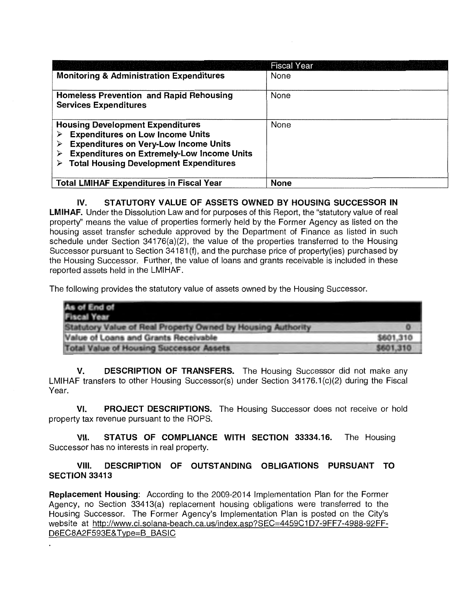|                                                                                                                                                                                                                                               | <b>Fiscal Year</b> |
|-----------------------------------------------------------------------------------------------------------------------------------------------------------------------------------------------------------------------------------------------|--------------------|
| <b>Monitoring &amp; Administration Expenditures</b>                                                                                                                                                                                           | None               |
| <b>Homeless Prevention and Rapid Rehousing</b><br><b>Services Expenditures</b>                                                                                                                                                                | None               |
| <b>Housing Development Expenditures</b><br><b>Expenditures on Low Income Units</b><br><b>Expenditures on Very-Low Income Units</b><br><b>Expenditures on Extremely-Low Income Units</b><br><b>Total Housing Development Expenditures</b><br>⋗ | None               |
| <b>Total LMIHAF Expenditures in Fiscal Year</b>                                                                                                                                                                                               | <b>None</b>        |

## **IV. STATUTORY VALUE OF ASSETS OWNED BY HOUSING SUCCESSOR IN LMIHAF.** Under the Dissolution Law and for purposes of this Report, the "statutory value of real property'' means the value of properties formerly held by the Former Agency as listed on the housing asset transfer schedule approved by the Department of Finance as listed in such

schedule under Section 34176(a)(2), the value of the properties transferred to the Housing Successor pursuant to Section 34181(f), and the purchase price of property(ies) purchased by the Housing Successor. Further, the value of loans and grants receivable is included in these reported assets held in the LMIHAF.

The following provides the statutory value of assets owned by the Housing Successor.

| As of End of<br><b>Fiscal Year</b>                          |           |
|-------------------------------------------------------------|-----------|
| Statutory Value of Real Property Owned by Housing Authority |           |
| Value of Loans and Grants Receivable                        | \$601,310 |
| <b>Total Value of Housing Successor Assets</b>              | \$601,310 |

**V. DESCRIPTION OF TRANSFERS.** The Housing Successor did not make any LMIHAF transfers to other Housing Successor(s) under Section 34176.1 (c)(2) during the Fiscal Year.

**VI. PROJECT DESCRIPTIONS.** The Housing Successor does not receive or hold property tax revenue pursuant to the ROPS.

**VII. STATUS OF COMPLIANCE WITH SECTION 33334.16.** The Housing Successor has no interests in real property.

## **VIII. DESCRIPTION OF OUTSTANDING OBLIGATIONS PURSUANT TO SECTION 33413**

**Replacement Housing:** According to the 2009-2014 Implementation Plan for the Former Agency, no Section 33413(a) replacement housing obligations were transferred to the Housing Successor. The Former Agency's Implementation Plan is posted on the City's website at http://www.ci.solana-beach.ca.us/index.asp?SEC=4459C1D7-9FF7-4988-92FF-D6EC8A2F593E& Type=B BASIC